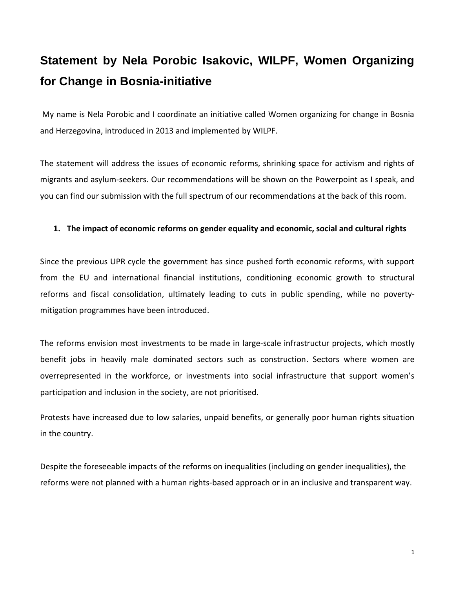## **Statement by Nela Porobic Isakovic, WILPF, Women Organizing for Change in Bosnia-initiative**

My name is Nela Porobic and I coordinate an initiative called Women organizing for change in Bosnia and Herzegovina, introduced in 2013 and implemented by WILPF.

The statement will address the issues of economic reforms, shrinking space for activism and rights of migrants and asylum-seekers. Our recommendations will be shown on the Powerpoint as I speak, and you can find our submission with the full spectrum of our recommendations at the back of this room.

## **1. The impact of economic reforms on gender equality and economic, social and cultural rights**

Since the previous UPR cycle the government has since pushed forth economic reforms, with support from the EU and international financial institutions, conditioning economic growth to structural reforms and fiscal consolidation, ultimately leading to cuts in public spending, while no povertymitigation programmes have been introduced.

The reforms envision most investments to be made in large-scale infrastructur projects, which mostly benefit jobs in heavily male dominated sectors such as construction. Sectors where women are overrepresented in the workforce, or investments into social infrastructure that support women's participation and inclusion in the society, are not prioritised.

Protests have increased due to low salaries, unpaid benefits, or generally poor human rights situation in the country.

Despite the foreseeable impacts of the reforms on inequalities (including on gender inequalities), the reforms were not planned with a human rights-based approach or in an inclusive and transparent way.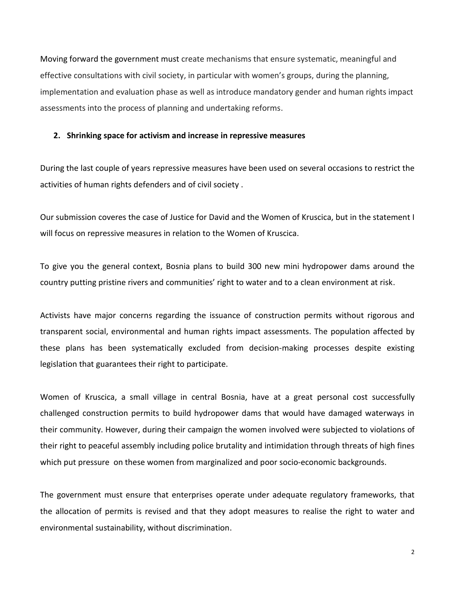Moving forward the government must create mechanisms that ensure systematic, meaningful and effective consultations with civil society, in particular with women's groups, during the planning, implementation and evaluation phase as well as introduce mandatory gender and human rights impact assessments into the process of planning and undertaking reforms.

## **2. Shrinking space for activism and increase in repressive measures**

During the last couple of years repressive measures have been used on several occasions to restrict the activities of human rights defenders and of civil society .

Our submission coveres the case of Justice for David and the Women of Kruscica, but in the statement I will focus on repressive measures in relation to the Women of Kruscica.

To give you the general context, Bosnia plans to build 300 new mini hydropower dams around the country putting pristine rivers and communities' right to water and to a clean environment at risk.

Activists have major concerns regarding the issuance of construction permits without rigorous and transparent social, environmental and human rights impact assessments. The population affected by these plans has been systematically excluded from decision-making processes despite existing legislation that guarantees their right to participate.

Women of Kruscica, a small village in central Bosnia, have at a great personal cost successfully challenged construction permits to build hydropower dams that would have damaged waterways in their community. However, during their campaign the women involved were subjected to violations of their right to peaceful assembly including police brutality and intimidation through threats of high fines which put pressure on these women from marginalized and poor socio-economic backgrounds.

The government must ensure that enterprises operate under adequate regulatory frameworks, that the allocation of permits is revised and that they adopt measures to realise the right to water and environmental sustainability, without discrimination.